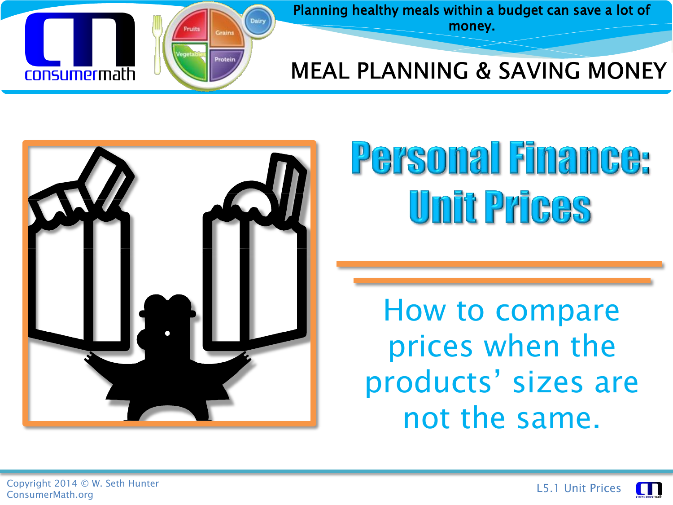

Planning healthy meals within a budget can save a lot of money.

#### **MEAL PLANNING & SAVING MONEY**



# Personal Finance: Unit Prices

How to compare prices when the products' sizes are not the same.

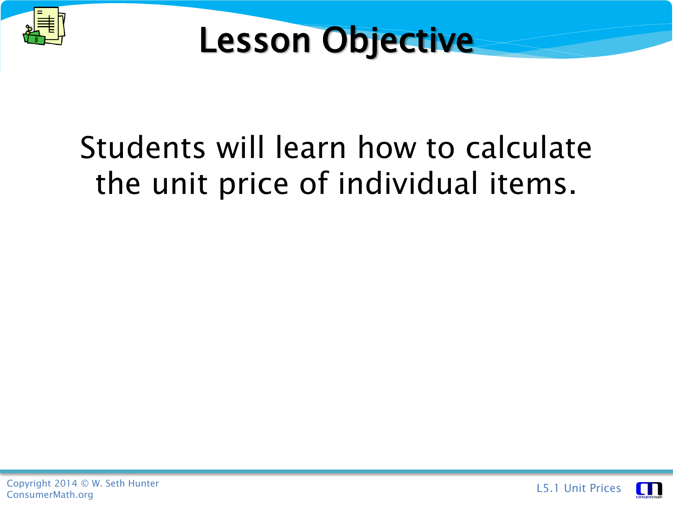



#### Students will learn how to calculate the unit price of individual items.



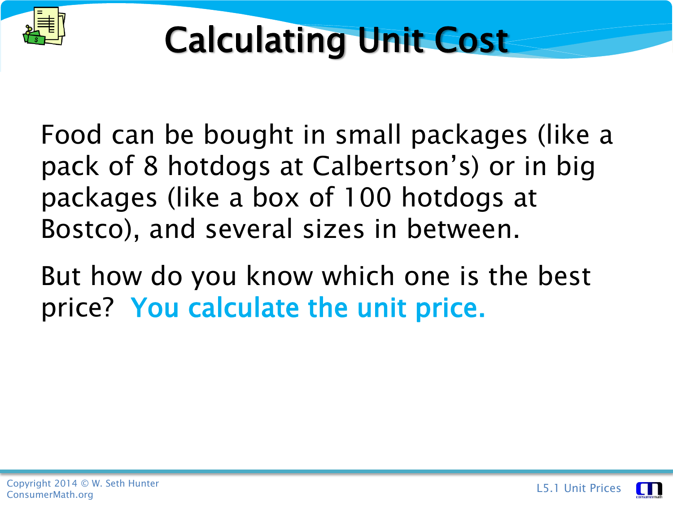

Food can be bought in small packages (like a pack of 8 hotdogs at Calbertson's) or in big packages (like a box of 100 hotdogs at Bostco), and several sizes in between.

But how do you know which one is the best price? You calculate the unit price.

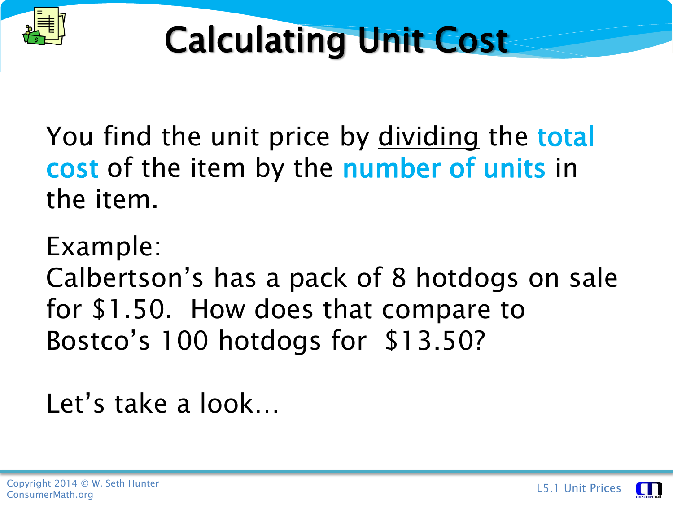

You find the unit price by dividing the **total** cost of the item by the number of units in the item.

Example:

Calbertson's has a pack of 8 hotdogs on sale for \$1.50. How does that compare to Bostco's 100 hotdogs for \$13.50?

Let's take a look…

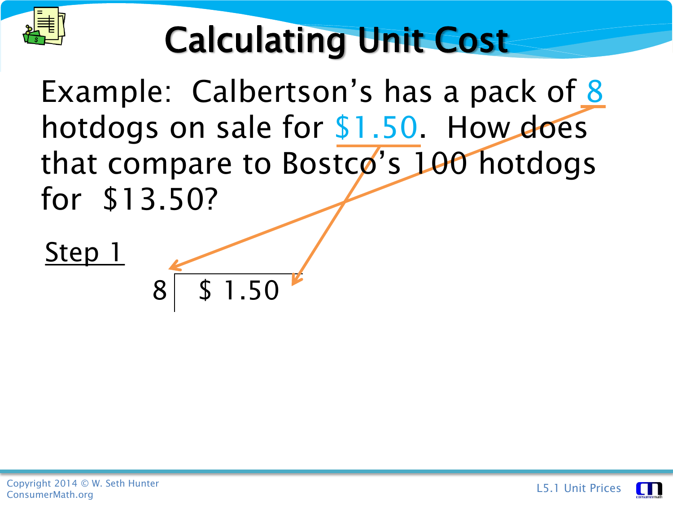

Example: Calbertson's has a pack of 8 hotdogs on sale for \$1.50. How does that compare to Bostco's 100 hotdogs for \$13.50?

Step 1

8 \$ 1.50

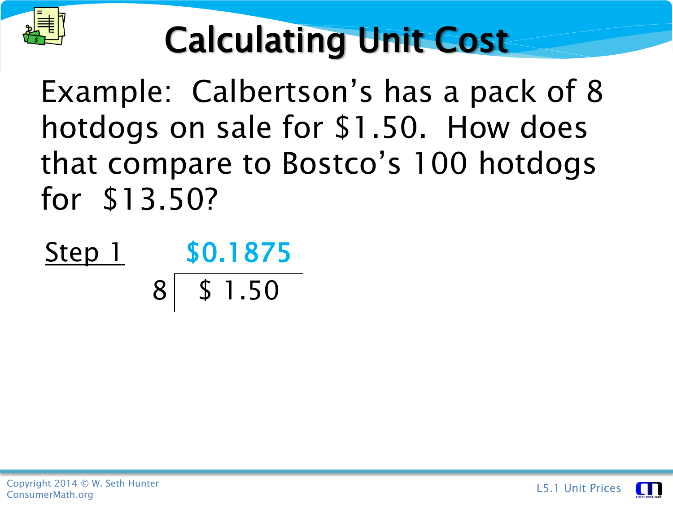

Example: Calbertson's has a pack of 8 hotdogs on sale for \$1.50. How does that compare to Bostco's 100 hotdogs for \$13.50?

Step 1 \$0.1875 8 \$ 1.50

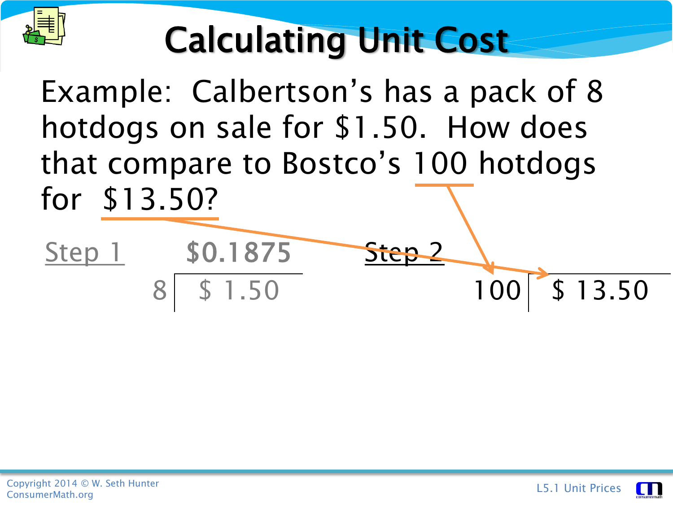

Example: Calbertson's has a pack of 8 hotdogs on sale for \$1.50. How does that compare to Bostco's 100 hotdogs for \$13.50?

Step 2

 $100$   $\frac{5}{1}$  \$ 13.50

Step 1 \$0.1875

1.50

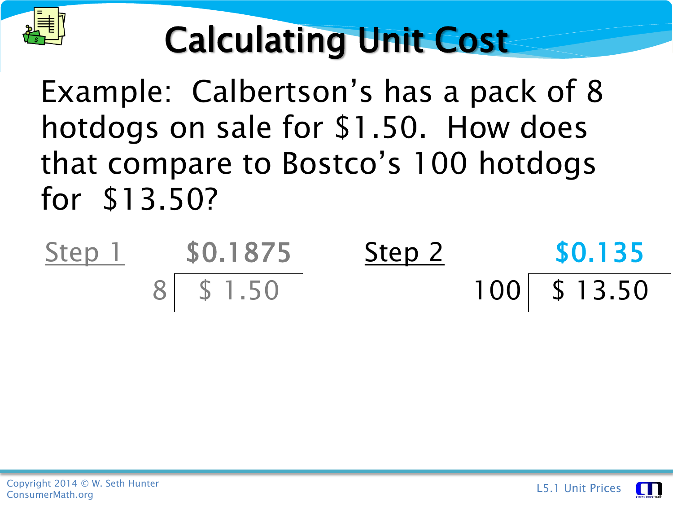

Example: Calbertson's has a pack of 8 hotdogs on sale for \$1.50. How does that compare to Bostco's 100 hotdogs for \$13.50?

| Step 1 | \$0.1875  | Step 2 | \$0.135        |  |
|--------|-----------|--------|----------------|--|
|        | 8 \$ 1.50 |        | $100$ \$ 13.50 |  |

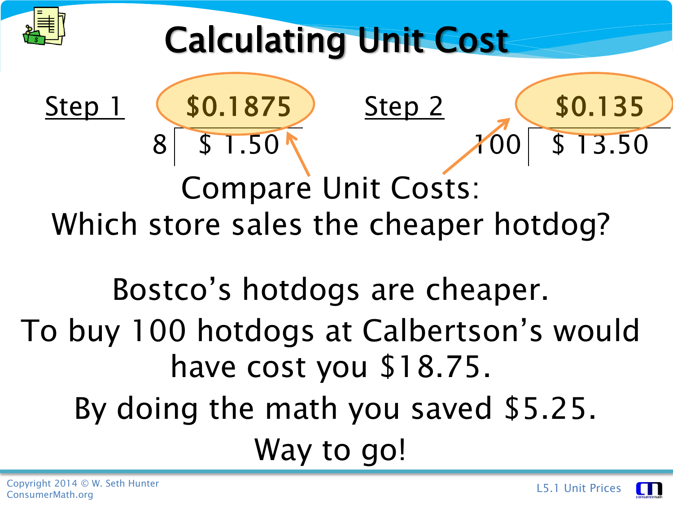

Step 1 (\$0.1875

8 \$ 1.50

Calculating Unit Cost

Compare Unit Costs: Which store sales the cheaper hotdog?

Bostco's hotdogs are cheaper. To buy 100 hotdogs at Calbertson's would have cost you \$18.75. By doing the math you saved \$5.25. Way to go!

Step 2 (\$0.135



3.50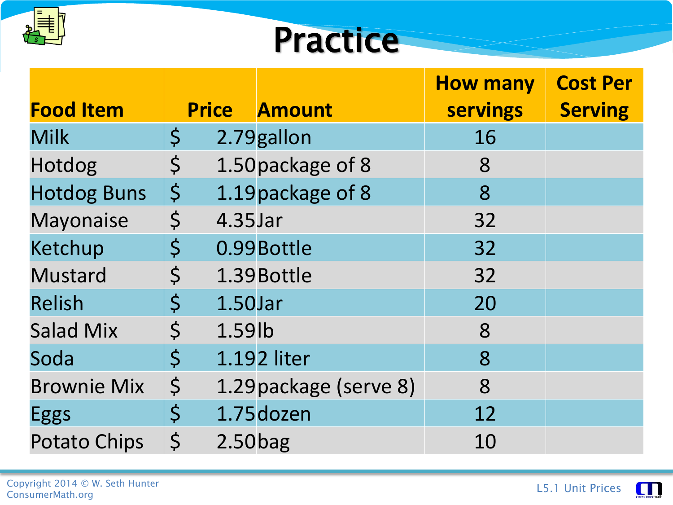

#### **Practice**

|                     |             |            |                        | <b>How many</b> | <b>Cost Per</b> |
|---------------------|-------------|------------|------------------------|-----------------|-----------------|
| <b>Food Item</b>    |             |            | <b>Price Amount</b>    | <b>servings</b> | <b>Serving</b>  |
| <b>Milk</b>         | $\varsigma$ |            | 2.79gallon             | 16              |                 |
| Hotdog              | $\varsigma$ |            | 1.50 package of 8      | 8               |                 |
| <b>Hotdog Buns</b>  | $\varsigma$ |            | 1.19 package of 8      | 8               |                 |
| <b>Mayonaise</b>    | $\varsigma$ | 4.35Jar    |                        | 32              |                 |
| Ketchup             | $\varsigma$ |            | 0.99 Bottle            | 32              |                 |
| <b>Mustard</b>      | $\varsigma$ |            | 1.39 Bottle            | 32              |                 |
| <b>Relish</b>       | $\varsigma$ | 1.50Jar    |                        | 20              |                 |
| <b>Salad Mix</b>    | $\varsigma$ | 1.59lb     |                        | 8               |                 |
| Soda                | $\varsigma$ |            | 1.192 liter            | 8               |                 |
| <b>Brownie Mix</b>  | $\varsigma$ |            | 1.29 package (serve 8) | 8               |                 |
| <b>Eggs</b>         | $\varsigma$ |            | 1.75 dozen             | 12              |                 |
| <b>Potato Chips</b> | $\varsigma$ | $2.50$ bag |                        | 10              |                 |

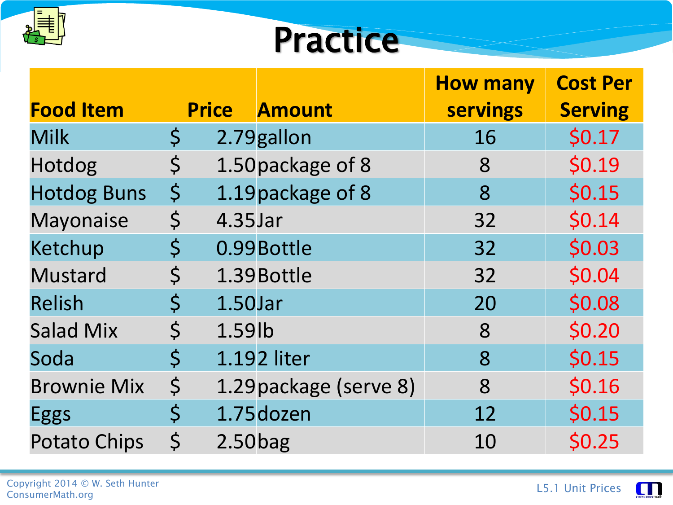

#### **Practice**

|                     |             |              |                        | <b>How many</b> | <b>Cost Per</b> |
|---------------------|-------------|--------------|------------------------|-----------------|-----------------|
| <b>Food Item</b>    |             | <b>Price</b> | <b>Amount</b>          | <b>servings</b> | <b>Serving</b>  |
| <b>Milk</b>         | $\varsigma$ |              | 2.79 gallon            | 16              | \$0.17          |
| Hotdog              | $\varsigma$ |              | 1.50 package of 8      | 8               | \$0.19          |
| <b>Hotdog Buns</b>  | $\varsigma$ |              | 1.19 package of 8      | 8               | \$0.15          |
| Mayonaise           | $\varsigma$ | 4.35Jar      |                        | 32              | \$0.14          |
| Ketchup             | $\varsigma$ |              | 0.99 Bottle            | 32              | \$0.03          |
| <b>Mustard</b>      | $\varsigma$ |              | 1.39 Bottle            | 32              | \$0.04          |
| <b>Relish</b>       | $\varsigma$ | 1.50Jar      |                        | 20              | \$0.08          |
| <b>Salad Mix</b>    | $\varsigma$ | 1.59lb       |                        | 8               | \$0.20          |
| Soda                | $\zeta$     |              | 1.192 liter            | 8               | \$0.15          |
| <b>Brownie Mix</b>  | $\varsigma$ |              | 1.29 package (serve 8) | 8               | \$0.16          |
| <b>Eggs</b>         | $\varsigma$ |              | 1.75 dozen             | 12              | \$0.15          |
| <b>Potato Chips</b> | $\zeta$     | $2.50$ bag   |                        | 10              | \$0.25          |

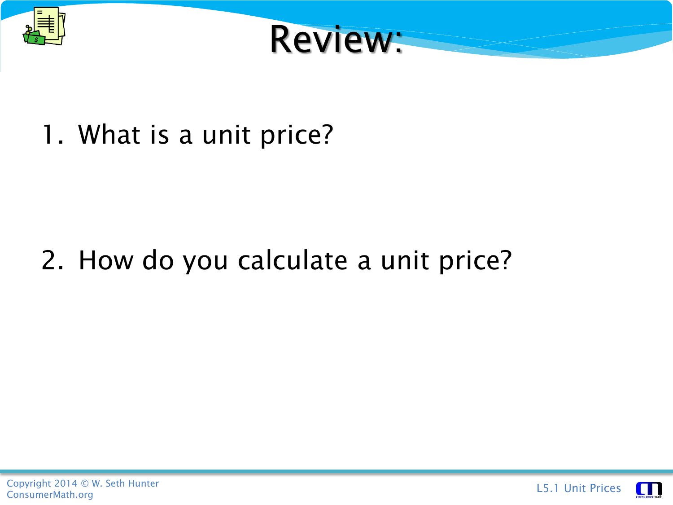



1. What is a unit price?

#### 2. How do you calculate a unit price?